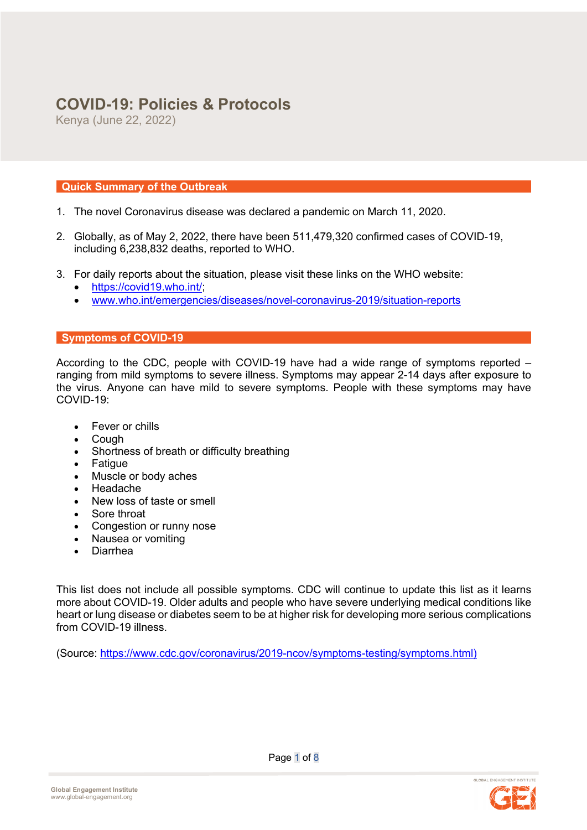# **COVID-19: Policies & Protocols**

Kenya (June 22, 2022)

## **Quick Summary of the Outbreak**

- 1. The novel Coronavirus disease was declared a pandemic on March 11, 2020.
- 2. Globally, as of May 2, 2022, there have been 511,479,320 confirmed cases of COVID-19, including 6,238,832 deaths, reported to WHO.
- 3. For daily reports about the situation, please visit these links on the WHO website:
	- https://covid19.who.int/;
	- www.who.int/emergencies/diseases/novel-coronavirus-2019/situation-reports

### **Symptoms of COVID-19**

According to the CDC, people with COVID-19 have had a wide range of symptoms reported – ranging from mild symptoms to severe illness. Symptoms may appear 2-14 days after exposure to the virus. Anyone can have mild to severe symptoms. People with these symptoms may have COVID-19:

- Fever or chills
- Cough
- Shortness of breath or difficulty breathing
- Fatigue
- Muscle or body aches
- Headache
- New loss of taste or smell
- Sore throat
- Congestion or runny nose
- Nausea or vomiting
- Diarrhea

This list does not include all possible symptoms. CDC will continue to update this list as it learns more about COVID-19. Older adults and people who have severe underlying medical conditions like heart or lung disease or diabetes seem to be at higher risk for developing more serious complications from COVID-19 illness.

(Source: https://www.cdc.gov/coronavirus/2019-ncov/symptoms-testing/symptoms.html)

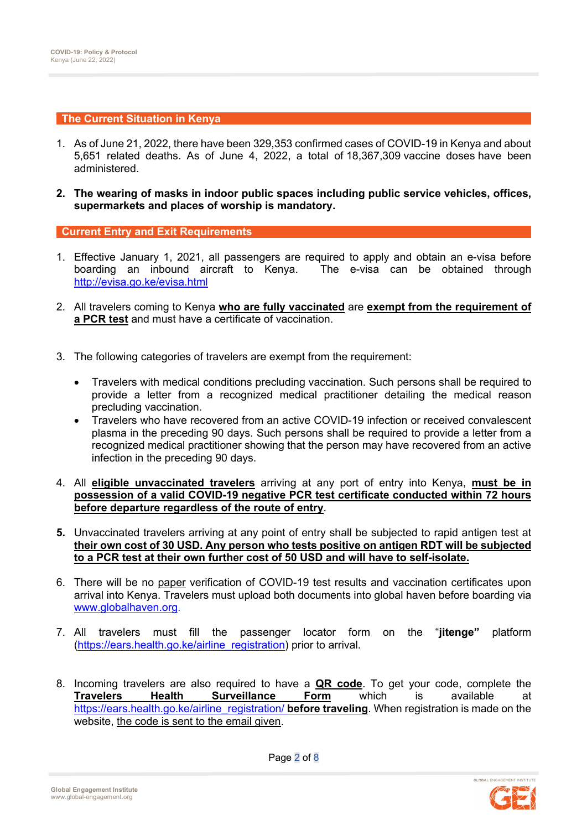#### **The Current Situation in Kenya**

- 1. As of June 21, 2022, there have been 329,353 confirmed cases of COVID-19 in Kenya and about 5,651 related deaths. As of June 4, 2022, a total of 18,367,309 vaccine doses have been administered.
- **2. The wearing of masks in indoor public spaces including public service vehicles, offices, supermarkets and places of worship is mandatory.**

**Current Entry and Exit Requirements** 

- 1. Effective January 1, 2021, all passengers are required to apply and obtain an e-visa before boarding an inbound aircraft to Kenya. The e-visa can be obtained through http://evisa.go.ke/evisa.html
- 2. All travelers coming to Kenya **who are fully vaccinated** are **exempt from the requirement of a PCR test** and must have a certificate of vaccination.
- 3. The following categories of travelers are exempt from the requirement:
	- Travelers with medical conditions precluding vaccination. Such persons shall be required to provide a letter from a recognized medical practitioner detailing the medical reason precluding vaccination.
	- Travelers who have recovered from an active COVID-19 infection or received convalescent plasma in the preceding 90 days. Such persons shall be required to provide a letter from a recognized medical practitioner showing that the person may have recovered from an active infection in the preceding 90 days.
- 4. All **eligible unvaccinated travelers** arriving at any port of entry into Kenya, **must be in possession of a valid COVID-19 negative PCR test certificate conducted within 72 hours before departure regardless of the route of entry**.
- **5.** Unvaccinated travelers arriving at any point of entry shall be subjected to rapid antigen test at **their own cost of 30 USD. Any person who tests positive on antigen RDT will be subjected to a PCR test at their own further cost of 50 USD and will have to self-isolate.**
- 6. There will be no paper verification of COVID-19 test results and vaccination certificates upon arrival into Kenya. Travelers must upload both documents into global haven before boarding via www.globalhaven.org.
- 7. All travelers must fill the passenger locator form on the "**jitenge"** platform (https://ears.health.go.ke/airline\_registration) prior to arrival.
- 8. Incoming travelers are also required to have a **QR code**. To get your code, complete the **Travelers Health Surveillance Form** which is available at https://ears.health.go.ke/airline\_registration/ **before traveling**. When registration is made on the website, the code is sent to the email given.



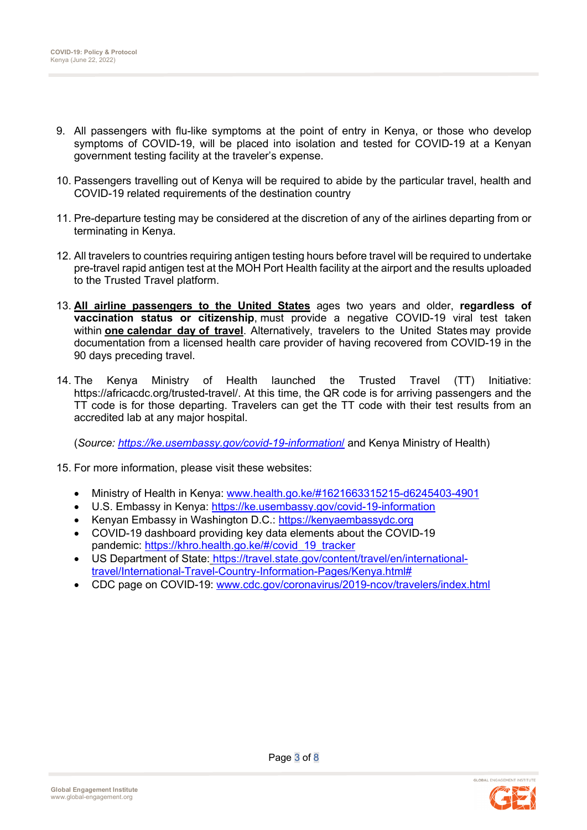- 9. All passengers with flu-like symptoms at the point of entry in Kenya, or those who develop symptoms of COVID-19, will be placed into isolation and tested for COVID-19 at a Kenyan government testing facility at the traveler's expense.
- 10. Passengers travelling out of Kenya will be required to abide by the particular travel, health and COVID-19 related requirements of the destination country
- 11. Pre-departure testing may be considered at the discretion of any of the airlines departing from or terminating in Kenya.
- 12. All travelers to countries requiring antigen testing hours before travel will be required to undertake pre-travel rapid antigen test at the MOH Port Health facility at the airport and the results uploaded to the Trusted Travel platform.
- 13. **All airline passengers to the United States** ages two years and older, **regardless of vaccination status or citizenship**, must provide a negative COVID-19 viral test taken within **one calendar day of travel**.  Alternatively, travelers to the United States may provide documentation from a licensed health care provider of having recovered from COVID-19 in the 90 days preceding travel.
- 14. The Kenya Ministry of Health launched the Trusted Travel (TT) Initiative: https://africacdc.org/trusted-travel/. At this time, the QR code is for arriving passengers and the TT code is for those departing. Travelers can get the TT code with their test results from an accredited lab at any major hospital.

(*Source: https://ke.usembassy.gov/covid-19-information*/ and Kenya Ministry of Health)

- 15. For more information, please visit these websites:
	- Ministry of Health in Kenya: www.health.go.ke/#1621663315215-d6245403-4901
	- U.S. Embassy in Kenya: https://ke.usembassy.gov/covid-19-information
	- Kenyan Embassy in Washington D.C.: https://kenyaembassydc.org
	- COVID-19 dashboard providing key data elements about the COVID-19 pandemic: https://khro.health.go.ke/#/covid\_19\_tracker
	- US Department of State: https://travel.state.gov/content/travel/en/internationaltravel/International-Travel-Country-Information-Pages/Kenya.html#
	- CDC page on COVID-19: www.cdc.gov/coronavirus/2019-ncov/travelers/index.html

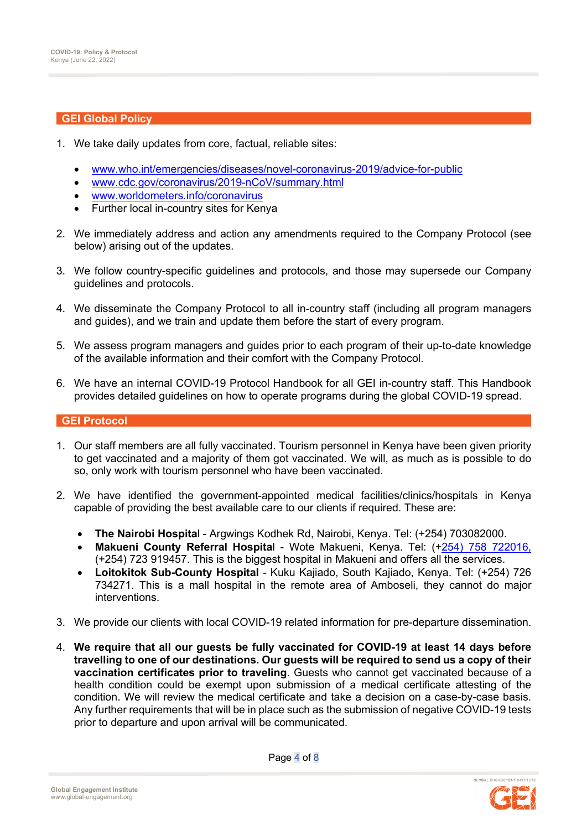#### **GEI Global Policy**

- 1. We take daily updates from core, factual, reliable sites:
	- www.who.int/emergencies/diseases/novel-coronavirus-2019/advice-for-public
	- www.cdc.gov/coronavirus/2019-nCoV/summary.html
	- www.worldometers.info/coronavirus
	- Further local in-country sites for Kenya
- 2. We immediately address and action any amendments required to the Company Protocol (see below) arising out of the updates.
- 3. We follow country-specific guidelines and protocols, and those may supersede our Company guidelines and protocols.
- 4. We disseminate the Company Protocol to all in-country staff (including all program managers and guides), and we train and update them before the start of every program.
- 5. We assess program managers and guides prior to each program of their up-to-date knowledge of the available information and their comfort with the Company Protocol.
- 6. We have an internal COVID-19 Protocol Handbook for all GEI in-country staff. This Handbook provides detailed guidelines on how to operate programs during the global COVID-19 spread.

#### **GEI Protocol**

- 1. Our staff members are all fully vaccinated. Tourism personnel in Kenya have been given priority to get vaccinated and a majority of them got vaccinated. We will, as much as is possible to do so, only work with tourism personnel who have been vaccinated.
- 2. We have identified the government-appointed medical facilities/clinics/hospitals in Kenya capable of providing the best available care to our clients if required. These are:
	- **The Nairobi Hospita**l Argwings Kodhek Rd, Nairobi, Kenya. Tel: (+254) 703082000.
	- **Makueni County Referral Hospita**l Wote Makueni, Kenya. Tel: (+254) 758 722016, (+254) 723 919457. This is the biggest hospital in Makueni and offers all the services.
	- **Loitokitok Sub-County Hospital** Kuku Kajiado, South Kajiado, Kenya. Tel: (+254) 726 734271. This is a mall hospital in the remote area of Amboseli, they cannot do major interventions.
- 3. We provide our clients with local COVID-19 related information for pre-departure dissemination.
- 4. **We require that all our guests be fully vaccinated for COVID-19 at least 14 days before travelling to one of our destinations. Our guests will be required to send us a copy of their vaccination certificates prior to traveling**. Guests who cannot get vaccinated because of a health condition could be exempt upon submission of a medical certificate attesting of the condition. We will review the medical certificate and take a decision on a case-by-case basis. Any further requirements that will be in place such as the submission of negative COVID-19 tests prior to departure and upon arrival will be communicated.

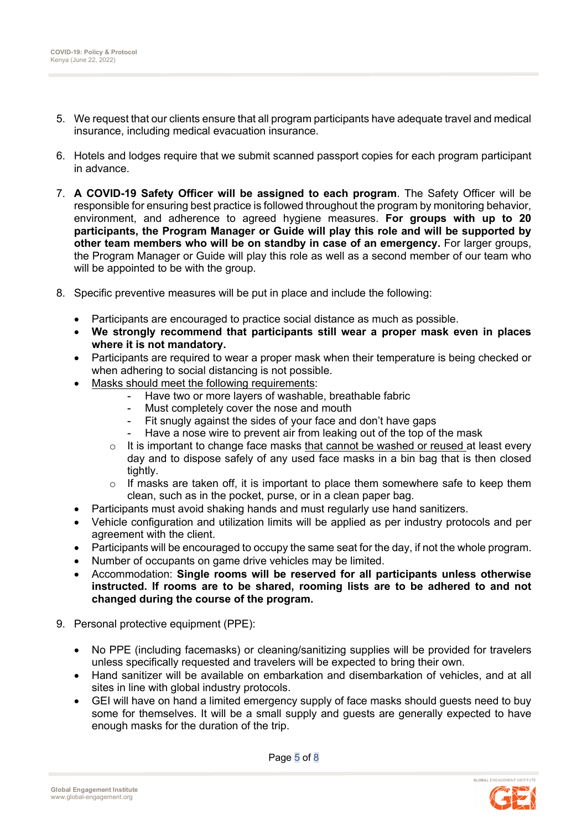- 5. We request that our clients ensure that all program participants have adequate travel and medical insurance, including medical evacuation insurance.
- 6. Hotels and lodges require that we submit scanned passport copies for each program participant in advance.
- 7. **A COVID-19 Safety Officer will be assigned to each program**. The Safety Officer will be responsible for ensuring best practice is followed throughout the program by monitoring behavior, environment, and adherence to agreed hygiene measures. **For groups with up to 20 participants, the Program Manager or Guide will play this role and will be supported by other team members who will be on standby in case of an emergency.** For larger groups, the Program Manager or Guide will play this role as well as a second member of our team who will be appointed to be with the group.
- 8. Specific preventive measures will be put in place and include the following:
	- Participants are encouraged to practice social distance as much as possible.
	- **We strongly recommend that participants still wear a proper mask even in places where it is not mandatory.**
	- Participants are required to wear a proper mask when their temperature is being checked or when adhering to social distancing is not possible.
	- Masks should meet the following requirements:
		- Have two or more layers of washable, breathable fabric
		- Must completely cover the nose and mouth
		- Fit snugly against the sides of your face and don't have gaps
		- Have a nose wire to prevent air from leaking out of the top of the mask
		- $\circ$  It is important to change face masks that cannot be washed or reused at least every day and to dispose safely of any used face masks in a bin bag that is then closed tightly.
		- $\circ$  If masks are taken off, it is important to place them somewhere safe to keep them clean, such as in the pocket, purse, or in a clean paper bag.
	- Participants must avoid shaking hands and must regularly use hand sanitizers.
	- Vehicle configuration and utilization limits will be applied as per industry protocols and per agreement with the client.
	- Participants will be encouraged to occupy the same seat for the day, if not the whole program.
	- Number of occupants on game drive vehicles may be limited.
	- Accommodation: **Single rooms will be reserved for all participants unless otherwise instructed. If rooms are to be shared, rooming lists are to be adhered to and not changed during the course of the program.**
- 9. Personal protective equipment (PPE):
	- No PPE (including facemasks) or cleaning/sanitizing supplies will be provided for travelers unless specifically requested and travelers will be expected to bring their own.
	- Hand sanitizer will be available on embarkation and disembarkation of vehicles, and at all sites in line with global industry protocols.
	- GEI will have on hand a limited emergency supply of face masks should guests need to buy some for themselves. It will be a small supply and guests are generally expected to have enough masks for the duration of the trip.

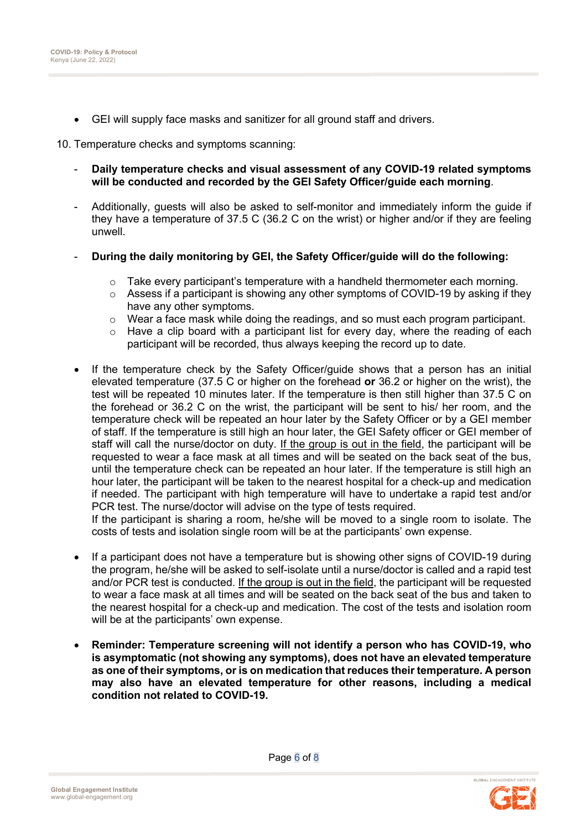• GEI will supply face masks and sanitizer for all ground staff and drivers.

10. Temperature checks and symptoms scanning:

- **Daily temperature checks and visual assessment of any COVID-19 related symptoms will be conducted and recorded by the GEI Safety Officer/guide each morning**.
- Additionally, guests will also be asked to self-monitor and immediately inform the guide if they have a temperature of 37.5 C (36.2 C on the wrist) or higher and/or if they are feeling unwell.
- **During the daily monitoring by GEI, the Safety Officer/guide will do the following:**
	- $\circ$  Take every participant's temperature with a handheld thermometer each morning.
	- $\circ$  Assess if a participant is showing any other symptoms of COVID-19 by asking if they have any other symptoms.
	- o Wear a face mask while doing the readings, and so must each program participant.
	- $\circ$  Have a clip board with a participant list for every day, where the reading of each participant will be recorded, thus always keeping the record up to date.
- If the temperature check by the Safety Officer/guide shows that a person has an initial elevated temperature (37.5 C or higher on the forehead **or** 36.2 or higher on the wrist), the test will be repeated 10 minutes later. If the temperature is then still higher than 37.5 C on the forehead or 36.2 C on the wrist, the participant will be sent to his/ her room, and the temperature check will be repeated an hour later by the Safety Officer or by a GEI member of staff. If the temperature is still high an hour later, the GEI Safety officer or GEI member of staff will call the nurse/doctor on duty. If the group is out in the field, the participant will be requested to wear a face mask at all times and will be seated on the back seat of the bus, until the temperature check can be repeated an hour later. If the temperature is still high an hour later, the participant will be taken to the nearest hospital for a check-up and medication if needed. The participant with high temperature will have to undertake a rapid test and/or PCR test. The nurse/doctor will advise on the type of tests required. If the participant is sharing a room, he/she will be moved to a single room to isolate. The

costs of tests and isolation single room will be at the participants' own expense.

- If a participant does not have a temperature but is showing other signs of COVID-19 during the program, he/she will be asked to self-isolate until a nurse/doctor is called and a rapid test and/or PCR test is conducted. If the group is out in the field, the participant will be requested to wear a face mask at all times and will be seated on the back seat of the bus and taken to the nearest hospital for a check-up and medication. The cost of the tests and isolation room will be at the participants' own expense.
- **Reminder: Temperature screening will not identify a person who has COVID-19, who is asymptomatic (not showing any symptoms), does not have an elevated temperature as one of their symptoms, or is on medication that reduces their temperature. A person may also have an elevated temperature for other reasons, including a medical condition not related to COVID-19.**

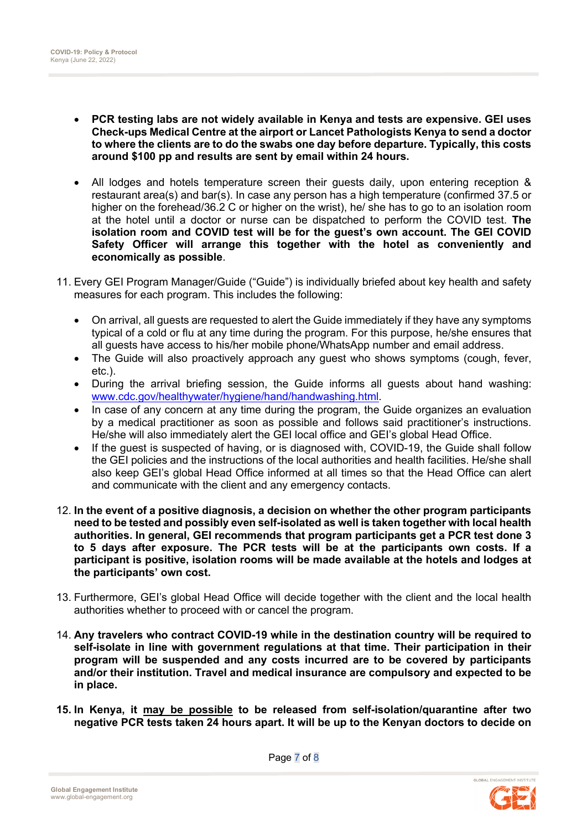- **PCR testing labs are not widely available in Kenya and tests are expensive. GEI uses Check-ups Medical Centre at the airport or Lancet Pathologists Kenya to send a doctor to where the clients are to do the swabs one day before departure. Typically, this costs around \$100 pp and results are sent by email within 24 hours.**
- All lodges and hotels temperature screen their guests daily, upon entering reception & restaurant area(s) and bar(s). In case any person has a high temperature (confirmed 37.5 or higher on the forehead/36.2 C or higher on the wrist), he/ she has to go to an isolation room at the hotel until a doctor or nurse can be dispatched to perform the COVID test. **The isolation room and COVID test will be for the guest's own account. The GEI COVID Safety Officer will arrange this together with the hotel as conveniently and economically as possible**.
- 11. Every GEI Program Manager/Guide ("Guide") is individually briefed about key health and safety measures for each program. This includes the following:
	- On arrival, all guests are requested to alert the Guide immediately if they have any symptoms typical of a cold or flu at any time during the program. For this purpose, he/she ensures that all guests have access to his/her mobile phone/WhatsApp number and email address.
	- The Guide will also proactively approach any quest who shows symptoms (cough, fever, etc.).
	- During the arrival briefing session, the Guide informs all guests about hand washing: www.cdc.gov/healthywater/hygiene/hand/handwashing.html.
	- In case of any concern at any time during the program, the Guide organizes an evaluation by a medical practitioner as soon as possible and follows said practitioner's instructions. He/she will also immediately alert the GEI local office and GEI's global Head Office.
	- If the quest is suspected of having, or is diagnosed with, COVID-19, the Guide shall follow the GEI policies and the instructions of the local authorities and health facilities. He/she shall also keep GEI's global Head Office informed at all times so that the Head Office can alert and communicate with the client and any emergency contacts.
- 12. **In the event of a positive diagnosis, a decision on whether the other program participants need to be tested and possibly even self-isolated as well is taken together with local health authorities. In general, GEI recommends that program participants get a PCR test done 3 to 5 days after exposure. The PCR tests will be at the participants own costs. If a participant is positive, isolation rooms will be made available at the hotels and lodges at the participants' own cost.**
- 13. Furthermore, GEI's global Head Office will decide together with the client and the local health authorities whether to proceed with or cancel the program.
- 14. **Any travelers who contract COVID-19 while in the destination country will be required to self-isolate in line with government regulations at that time. Their participation in their program will be suspended and any costs incurred are to be covered by participants and/or their institution. Travel and medical insurance are compulsory and expected to be in place.**
- **15. In Kenya, it may be possible to be released from self-isolation/quarantine after two negative PCR tests taken 24 hours apart. It will be up to the Kenyan doctors to decide on**